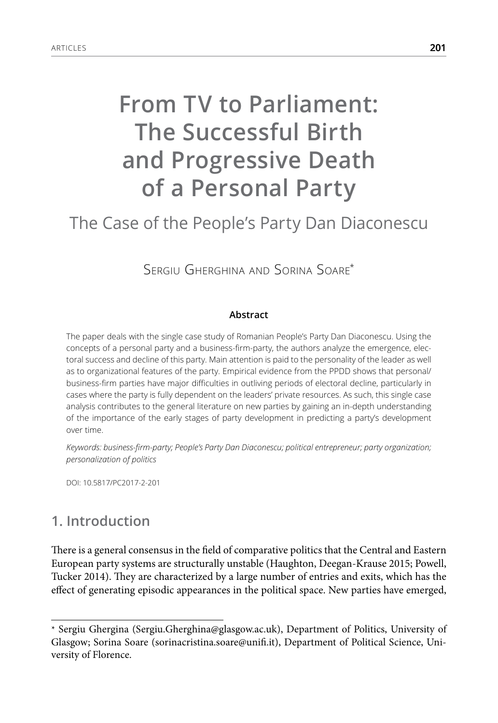# **From TV to Parliament: The Successful Birth and Progressive Death of a Personal Party**

## The Case of the People's Party Dan Diaconescu

Sergiu Gherghina and Sorina Soare\*

#### **Abstract**

The paper deals with the single case study of Romanian People's Party Dan Diaconescu. Using the concepts of a personal party and a business-firm-party, the authors analyze the emergence, electoral success and decline of this party. Main attention is paid to the personality of the leader as well as to organizational features of the party. Empirical evidence from the PPDD shows that personal/ business-firm parties have major difficulties in outliving periods of electoral decline, particularly in cases where the party is fully dependent on the leaders' private resources. As such, this single case analysis contributes to the general literature on new parties by gaining an in-depth understanding of the importance of the early stages of party development in predicting a party's development over time.

*Keywords: business-firm-party; People's Party Dan Diaconescu; political entrepreneur; party organization; personalization of politics*

DOI: 10.5817/PC2017-2-201

#### **1. Introduction**

There is a general consensus in the field of comparative politics that the Central and Eastern European party systems are structurally unstable (Haughton, Deegan-Krause 2015; Powell, Tucker 2014). They are characterized by a large number of entries and exits, which has the effect of generating episodic appearances in the political space. New parties have emerged,

<sup>\*</sup> Sergiu Ghergina (Sergiu.Gherghina@glasgow.ac.uk), Department of Politics, University of Glasgow; Sorina Soare (sorinacristina.soare@unifi.it), Department of Political Science, University of Florence.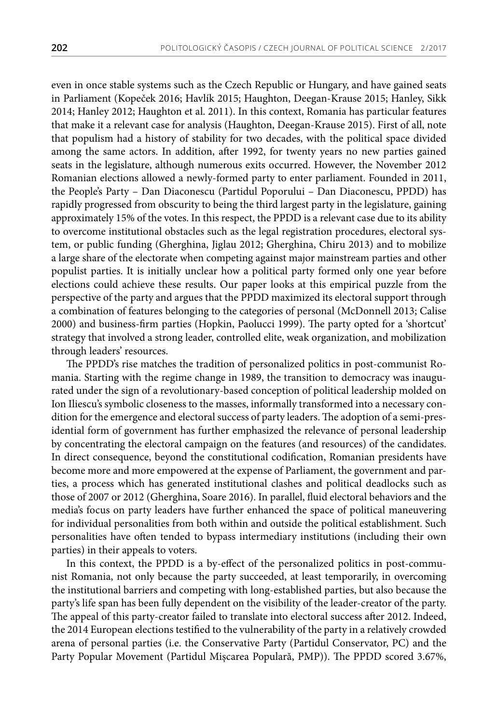even in once stable systems such as the Czech Republic or Hungary, and have gained seats in Parliament (Kopeček 2016; Havlík 2015; Haughton, Deegan-Krause 2015; Hanley, Sikk 2014; Hanley 2012; Haughton et al. 2011). In this context, Romania has particular features that make it a relevant case for analysis (Haughton, Deegan-Krause 2015). First of all, note that populism had a history of stability for two decades, with the political space divided among the same actors. In addition, after 1992, for twenty years no new parties gained seats in the legislature, although numerous exits occurred. However, the November 2012 Romanian elections allowed a newly-formed party to enter parliament. Founded in 2011, the People's Party – Dan Diaconescu (Partidul Poporului – Dan Diaconescu, PPDD) has rapidly progressed from obscurity to being the third largest party in the legislature, gaining approximately 15% of the votes. In this respect, the PPDD is a relevant case due to its ability to overcome institutional obstacles such as the legal registration procedures, electoral system, or public funding (Gherghina, Jiglau 2012; Gherghina, Chiru 2013) and to mobilize a large share of the electorate when competing against major mainstream parties and other populist parties. It is initially unclear how a political party formed only one year before elections could achieve these results. Our paper looks at this empirical puzzle from the perspective of the party and argues that the PPDD maximized its electoral support through a combination of features belonging to the categories of personal (McDonnell 2013; Calise 2000) and business-firm parties (Hopkin, Paolucci 1999). The party opted for a 'shortcut' strategy that involved a strong leader, controlled elite, weak organization, and mobilization through leaders' resources.

The PPDD's rise matches the tradition of personalized politics in post-communist Romania. Starting with the regime change in 1989, the transition to democracy was inaugurated under the sign of a revolutionary-based conception of political leadership molded on Ion Iliescu's symbolic closeness to the masses, informally transformed into a necessary condition for the emergence and electoral success of party leaders. The adoption of a semi-presidential form of government has further emphasized the relevance of personal leadership by concentrating the electoral campaign on the features (and resources) of the candidates. In direct consequence, beyond the constitutional codification, Romanian presidents have become more and more empowered at the expense of Parliament, the government and parties, a process which has generated institutional clashes and political deadlocks such as those of 2007 or 2012 (Gherghina, Soare 2016). In parallel, fluid electoral behaviors and the media's focus on party leaders have further enhanced the space of political maneuvering for individual personalities from both within and outside the political establishment. Such personalities have often tended to bypass intermediary institutions (including their own parties) in their appeals to voters.

In this context, the PPDD is a by-effect of the personalized politics in post-communist Romania, not only because the party succeeded, at least temporarily, in overcoming the institutional barriers and competing with long-established parties, but also because the party's life span has been fully dependent on the visibility of the leader-creator of the party. The appeal of this party-creator failed to translate into electoral success after 2012. Indeed, the 2014 European elections testified to the vulnerability of the party in a relatively crowded arena of personal parties (i.e. the Conservative Party (Partidul Conservator, PC) and the Party Popular Movement (Partidul Mișcarea Populară, PMP)). The PPDD scored 3.67%,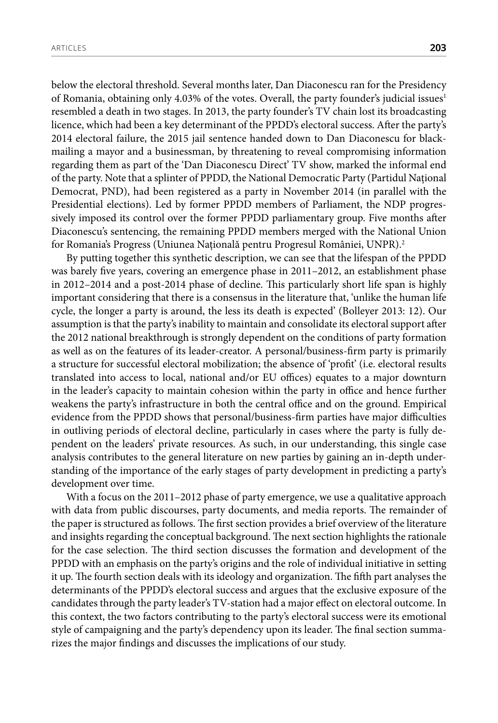below the electoral threshold. Several months later, Dan Diaconescu ran for the Presidency of Romania, obtaining only 4.03% of the votes. Overall, the party founder's judicial issues<sup>1</sup> resembled a death in two stages. In 2013, the party founder's TV chain lost its broadcasting licence, which had been a key determinant of the PPDD's electoral success. After the party's 2014 electoral failure, the 2015 jail sentence handed down to Dan Diaconescu for blackmailing a mayor and a businessman, by threatening to reveal compromising information regarding them as part of the 'Dan Diaconescu Direct' TV show, marked the informal end of the party. Note that a splinter of PPDD, the National Democratic Party (Partidul Național Democrat, PND), had been registered as a party in November 2014 (in parallel with the Presidential elections). Led by former PPDD members of Parliament, the NDP progressively imposed its control over the former PPDD parliamentary group. Five months after Diaconescu's sentencing, the remaining PPDD members merged with the National Union for Romania's Progress (Uniunea Națională pentru Progresul României, UNPR).<sup>2</sup>

By putting together this synthetic description, we can see that the lifespan of the PPDD was barely five years, covering an emergence phase in 2011–2012, an establishment phase in 2012–2014 and a post-2014 phase of decline. This particularly short life span is highly important considering that there is a consensus in the literature that, 'unlike the human life cycle, the longer a party is around, the less its death is expected' (Bolleyer 2013: 12). Our assumption is that the party's inability to maintain and consolidate its electoral support after the 2012 national breakthrough is strongly dependent on the conditions of party formation as well as on the features of its leader-creator. A personal/business-firm party is primarily a structure for successful electoral mobilization; the absence of 'profit' (i.e. electoral results translated into access to local, national and/or EU offices) equates to a major downturn in the leader's capacity to maintain cohesion within the party in office and hence further weakens the party's infrastructure in both the central office and on the ground. Empirical evidence from the PPDD shows that personal/business-firm parties have major difficulties in outliving periods of electoral decline, particularly in cases where the party is fully dependent on the leaders' private resources. As such, in our understanding, this single case analysis contributes to the general literature on new parties by gaining an in-depth understanding of the importance of the early stages of party development in predicting a party's development over time.

With a focus on the 2011–2012 phase of party emergence, we use a qualitative approach with data from public discourses, party documents, and media reports. The remainder of the paper is structured as follows. The first section provides a brief overview of the literature and insights regarding the conceptual background. The next section highlights the rationale for the case selection. The third section discusses the formation and development of the PPDD with an emphasis on the party's origins and the role of individual initiative in setting it up. The fourth section deals with its ideology and organization. The fifth part analyses the determinants of the PPDD's electoral success and argues that the exclusive exposure of the candidates through the party leader's TV-station had a major effect on electoral outcome. In this context, the two factors contributing to the party's electoral success were its emotional style of campaigning and the party's dependency upon its leader. The final section summarizes the major findings and discusses the implications of our study.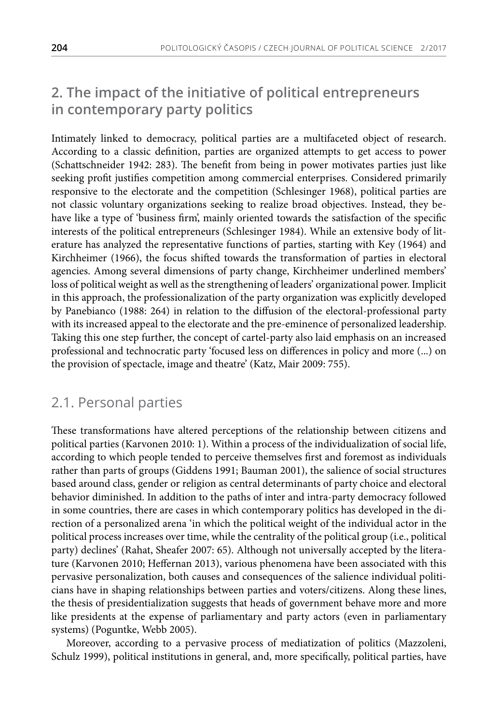### **2. The impact of the initiative of political entrepreneurs in contemporary party politics**

Intimately linked to democracy, political parties are a multifaceted object of research. According to a classic definition, parties are organized attempts to get access to power (Schattschneider 1942: 283). The benefit from being in power motivates parties just like seeking profit justifies competition among commercial enterprises. Considered primarily responsive to the electorate and the competition (Schlesinger 1968), political parties are not classic voluntary organizations seeking to realize broad objectives. Instead, they behave like a type of 'business firm', mainly oriented towards the satisfaction of the specific interests of the political entrepreneurs (Schlesinger 1984). While an extensive body of literature has analyzed the representative functions of parties, starting with Key (1964) and Kirchheimer (1966), the focus shifted towards the transformation of parties in electoral agencies. Among several dimensions of party change, Kirchheimer underlined members' loss of political weight as well as the strengthening of leaders' organizational power. Implicit in this approach, the professionalization of the party organization was explicitly developed by Panebianco (1988: 264) in relation to the diffusion of the electoral-professional party with its increased appeal to the electorate and the pre-eminence of personalized leadership. Taking this one step further, the concept of cartel-party also laid emphasis on an increased professional and technocratic party 'focused less on differences in policy and more (...) on the provision of spectacle, image and theatre' (Katz, Mair 2009: 755).

#### 2.1. Personal parties

These transformations have altered perceptions of the relationship between citizens and political parties (Karvonen 2010: 1). Within a process of the individualization of social life, according to which people tended to perceive themselves first and foremost as individuals rather than parts of groups (Giddens 1991; Bauman 2001), the salience of social structures based around class, gender or religion as central determinants of party choice and electoral behavior diminished. In addition to the paths of inter and intra-party democracy followed in some countries, there are cases in which contemporary politics has developed in the direction of a personalized arena 'in which the political weight of the individual actor in the political process increases over time, while the centrality of the political group (i.e., political party) declines' (Rahat, Sheafer 2007: 65). Although not universally accepted by the literature (Karvonen 2010; Heffernan 2013), various phenomena have been associated with this pervasive personalization, both causes and consequences of the salience individual politicians have in shaping relationships between parties and voters/citizens. Along these lines, the thesis of presidentialization suggests that heads of government behave more and more like presidents at the expense of parliamentary and party actors (even in parliamentary systems) (Poguntke, Webb 2005).

Moreover, according to a pervasive process of mediatization of politics (Mazzoleni, Schulz 1999), political institutions in general, and, more specifically, political parties, have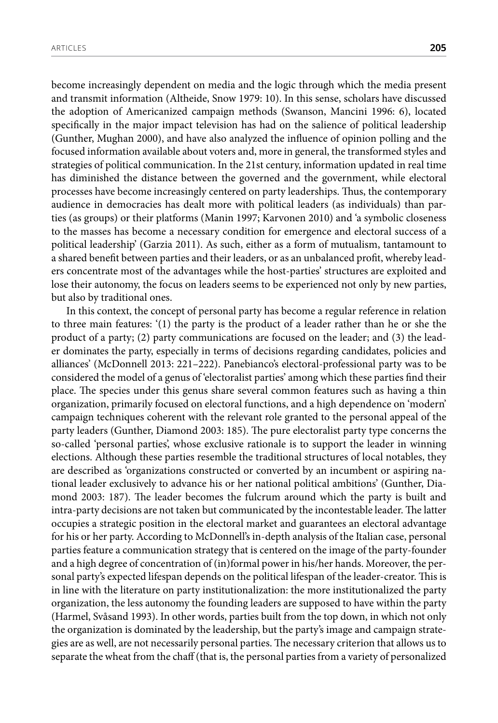become increasingly dependent on media and the logic through which the media present and transmit information (Altheide, Snow 1979: 10). In this sense, scholars have discussed the adoption of Americanized campaign methods (Swanson, Mancini 1996: 6), located specifically in the major impact television has had on the salience of political leadership (Gunther, Mughan 2000), and have also analyzed the influence of opinion polling and the focused information available about voters and, more in general, the transformed styles and strategies of political communication. In the 21st century, information updated in real time has diminished the distance between the governed and the government, while electoral processes have become increasingly centered on party leaderships. Thus, the contemporary audience in democracies has dealt more with political leaders (as individuals) than parties (as groups) or their platforms (Manin 1997; Karvonen 2010) and 'a symbolic closeness to the masses has become a necessary condition for emergence and electoral success of a political leadership' (Garzia 2011). As such, either as a form of mutualism, tantamount to a shared benefit between parties and their leaders, or as an unbalanced profit, whereby leaders concentrate most of the advantages while the host-parties' structures are exploited and lose their autonomy, the focus on leaders seems to be experienced not only by new parties, but also by traditional ones.

In this context, the concept of personal party has become a regular reference in relation to three main features: '(1) the party is the product of a leader rather than he or she the product of a party; (2) party communications are focused on the leader; and (3) the leader dominates the party, especially in terms of decisions regarding candidates, policies and alliances' (McDonnell 2013: 221–222). Panebianco's electoral-professional party was to be considered the model of a genus of 'electoralist parties' among which these parties find their place. The species under this genus share several common features such as having a thin organization, primarily focused on electoral functions, and a high dependence on 'modern' campaign techniques coherent with the relevant role granted to the personal appeal of the party leaders (Gunther, Diamond 2003: 185). The pure electoralist party type concerns the so-called 'personal parties', whose exclusive rationale is to support the leader in winning elections. Although these parties resemble the traditional structures of local notables, they are described as 'organizations constructed or converted by an incumbent or aspiring national leader exclusively to advance his or her national political ambitions' (Gunther, Diamond 2003: 187). The leader becomes the fulcrum around which the party is built and intra-party decisions are not taken but communicated by the incontestable leader. The latter occupies a strategic position in the electoral market and guarantees an electoral advantage for his or her party. According to McDonnell's in-depth analysis of the Italian case, personal parties feature a communication strategy that is centered on the image of the party-founder and a high degree of concentration of (in)formal power in his/her hands. Moreover, the personal party's expected lifespan depends on the political lifespan of the leader-creator. This is in line with the literature on party institutionalization: the more institutionalized the party organization, the less autonomy the founding leaders are supposed to have within the party (Harmel, Svåsand 1993). In other words, parties built from the top down, in which not only the organization is dominated by the leadership, but the party's image and campaign strategies are as well, are not necessarily personal parties. The necessary criterion that allows us to separate the wheat from the chaff (that is, the personal parties from a variety of personalized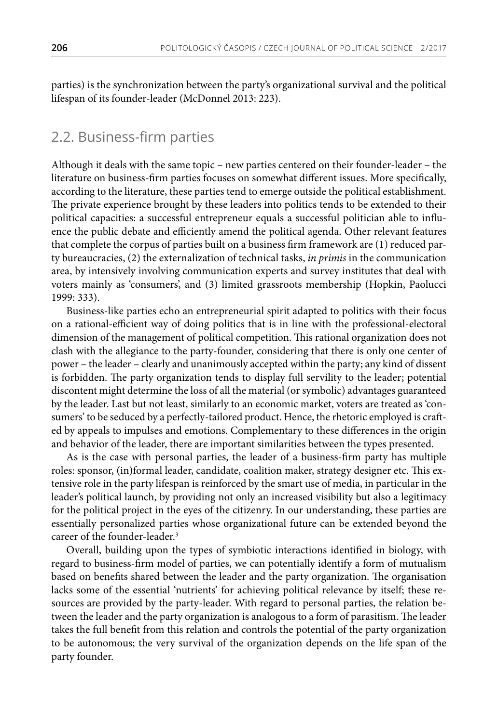parties) is the synchronization between the party's organizational survival and the political lifespan of its founder-leader (McDonnel 2013: 223).

#### 2.2. Business-firm parties

Although it deals with the same topic – new parties centered on their founder-leader – the literature on business-firm parties focuses on somewhat different issues. More specifically, according to the literature, these parties tend to emerge outside the political establishment. The private experience brought by these leaders into politics tends to be extended to their political capacities: a successful entrepreneur equals a successful politician able to influence the public debate and efficiently amend the political agenda. Other relevant features that complete the corpus of parties built on a business firm framework are (1) reduced party bureaucracies, (2) the externalization of technical tasks, *in primis* in the communication area, by intensively involving communication experts and survey institutes that deal with voters mainly as 'consumers', and (3) limited grassroots membership (Hopkin, Paolucci 1999: 333).

Business-like parties echo an entrepreneurial spirit adapted to politics with their focus on a rational-efficient way of doing politics that is in line with the professional-electoral dimension of the management of political competition. This rational organization does not clash with the allegiance to the party-founder, considering that there is only one center of power – the leader – clearly and unanimously accepted within the party; any kind of dissent is forbidden. The party organization tends to display full servility to the leader; potential discontent might determine the loss of all the material (or symbolic) advantages guaranteed by the leader. Last but not least, similarly to an economic market, voters are treated as 'consumers' to be seduced by a perfectly-tailored product. Hence, the rhetoric employed is crafted by appeals to impulses and emotions. Complementary to these differences in the origin and behavior of the leader, there are important similarities between the types presented.

As is the case with personal parties, the leader of a business-firm party has multiple roles: sponsor, (in)formal leader, candidate, coalition maker, strategy designer etc. This extensive role in the party lifespan is reinforced by the smart use of media, in particular in the leader's political launch, by providing not only an increased visibility but also a legitimacy for the political project in the eyes of the citizenry. In our understanding, these parties are essentially personalized parties whose organizational future can be extended beyond the career of the founder-leader.<sup>3</sup>

Overall, building upon the types of symbiotic interactions identified in biology, with regard to business-firm model of parties, we can potentially identify a form of mutualism based on benefits shared between the leader and the party organization. The organisation lacks some of the essential 'nutrients' for achieving political relevance by itself; these resources are provided by the party-leader. With regard to personal parties, the relation between the leader and the party organization is analogous to a form of parasitism. The leader takes the full benefit from this relation and controls the potential of the party organization to be autonomous; the very survival of the organization depends on the life span of the party founder.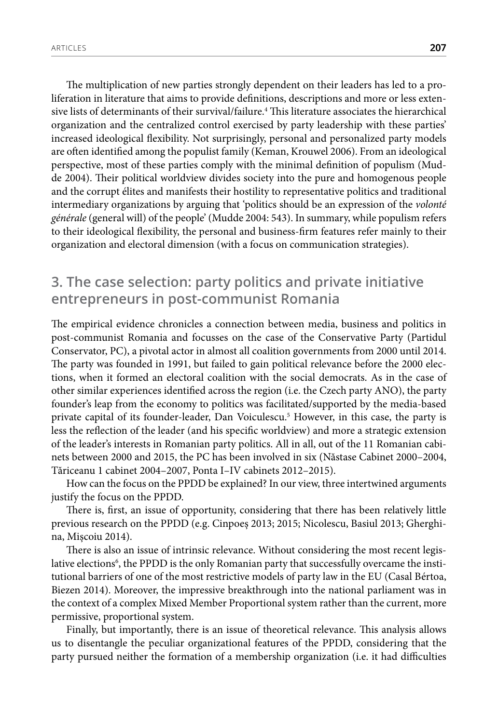The multiplication of new parties strongly dependent on their leaders has led to a proliferation in literature that aims to provide definitions, descriptions and more or less extensive lists of determinants of their survival/failure.4 This literature associates the hierarchical organization and the centralized control exercised by party leadership with these parties' increased ideological flexibility. Not surprisingly, personal and personalized party models are often identified among the populist family (Keman, Krouwel 2006). From an ideological perspective, most of these parties comply with the minimal definition of populism (Mudde 2004). Their political worldview divides society into the pure and homogenous people and the corrupt élites and manifests their hostility to representative politics and traditional intermediary organizations by arguing that 'politics should be an expression of the *volonté générale* (general will) of the people' (Mudde 2004: 543). In summary, while populism refers to their ideological flexibility, the personal and business-firm features refer mainly to their organization and electoral dimension (with a focus on communication strategies).

#### **3. The case selection: party politics and private initiative entrepreneurs in post-communist Romania**

The empirical evidence chronicles a connection between media, business and politics in post-communist Romania and focusses on the case of the Conservative Party (Partidul Conservator, PC), a pivotal actor in almost all coalition governments from 2000 until 2014. The party was founded in 1991, but failed to gain political relevance before the 2000 elections, when it formed an electoral coalition with the social democrats. As in the case of other similar experiences identified across the region (i.e. the Czech party ANO), the party founder's leap from the economy to politics was facilitated/supported by the media-based private capital of its founder-leader, Dan Voiculescu.5 However, in this case, the party is less the reflection of the leader (and his specific worldview) and more a strategic extension of the leader's interests in Romanian party politics. All in all, out of the 11 Romanian cabinets between 2000 and 2015, the PC has been involved in six (Năstase Cabinet 2000–2004, Tăriceanu 1 cabinet 2004–2007, Ponta I–IV cabinets 2012–2015).

How can the focus on the PPDD be explained? In our view, three intertwined arguments justify the focus on the PPDD.

There is, first, an issue of opportunity, considering that there has been relatively little previous research on the PPDD (e.g. Cinpoeș 2013; 2015; Nicolescu, Basiul 2013; Gherghina, Mișcoiu 2014).

There is also an issue of intrinsic relevance. Without considering the most recent legislative elections<sup>6</sup>, the PPDD is the only Romanian party that successfully overcame the institutional barriers of one of the most restrictive models of party law in the EU (Casal Bértoa, Biezen 2014). Moreover, the impressive breakthrough into the national parliament was in the context of a complex Mixed Member Proportional system rather than the current, more permissive, proportional system.

Finally, but importantly, there is an issue of theoretical relevance. This analysis allows us to disentangle the peculiar organizational features of the PPDD, considering that the party pursued neither the formation of a membership organization (i.e. it had difficulties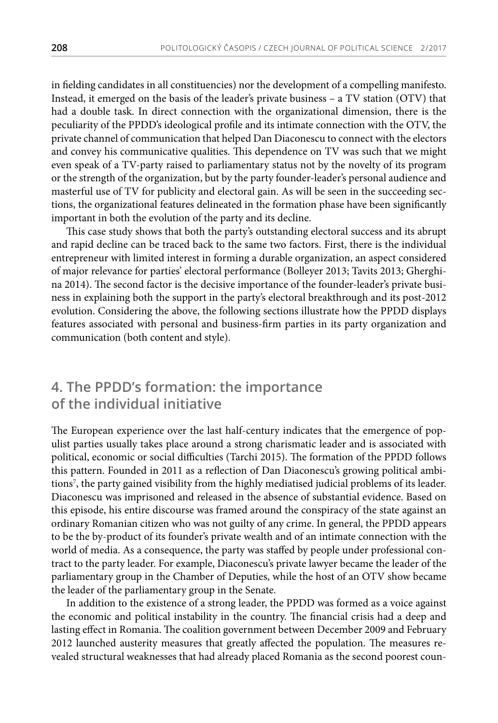in fielding candidates in all constituencies) nor the development of a compelling manifesto. Instead, it emerged on the basis of the leader's private business – a TV station (OTV) that had a double task. In direct connection with the organizational dimension, there is the peculiarity of the PPDD's ideological profile and its intimate connection with the OTV, the private channel of communication that helped Dan Diaconescu to connect with the electors and convey his communicative qualities. This dependence on TV was such that we might even speak of a TV-party raised to parliamentary status not by the novelty of its program or the strength of the organization, but by the party founder-leader's personal audience and masterful use of TV for publicity and electoral gain. As will be seen in the succeeding sections, the organizational features delineated in the formation phase have been significantly important in both the evolution of the party and its decline.

This case study shows that both the party's outstanding electoral success and its abrupt and rapid decline can be traced back to the same two factors. First, there is the individual entrepreneur with limited interest in forming a durable organization, an aspect considered of major relevance for parties' electoral performance (Bolleyer 2013; Tavits 2013; Gherghina 2014). The second factor is the decisive importance of the founder-leader's private business in explaining both the support in the party's electoral breakthrough and its post-2012 evolution. Considering the above, the following sections illustrate how the PPDD displays features associated with personal and business-firm parties in its party organization and communication (both content and style).

#### **4. The PPDD's formation: the importance of the individual initiative**

The European experience over the last half-century indicates that the emergence of populist parties usually takes place around a strong charismatic leader and is associated with political, economic or social difficulties (Tarchi 2015). The formation of the PPDD follows this pattern. Founded in 2011 as a reflection of Dan Diaconescu's growing political ambitions7 , the party gained visibility from the highly mediatised judicial problems of its leader. Diaconescu was imprisoned and released in the absence of substantial evidence. Based on this episode, his entire discourse was framed around the conspiracy of the state against an ordinary Romanian citizen who was not guilty of any crime. In general, the PPDD appears to be the by-product of its founder's private wealth and of an intimate connection with the world of media. As a consequence, the party was staffed by people under professional contract to the party leader. For example, Diaconescu's private lawyer became the leader of the parliamentary group in the Chamber of Deputies, while the host of an OTV show became the leader of the parliamentary group in the Senate.

In addition to the existence of a strong leader, the PPDD was formed as a voice against the economic and political instability in the country. The financial crisis had a deep and lasting effect in Romania. The coalition government between December 2009 and February 2012 launched austerity measures that greatly affected the population. The measures revealed structural weaknesses that had already placed Romania as the second poorest coun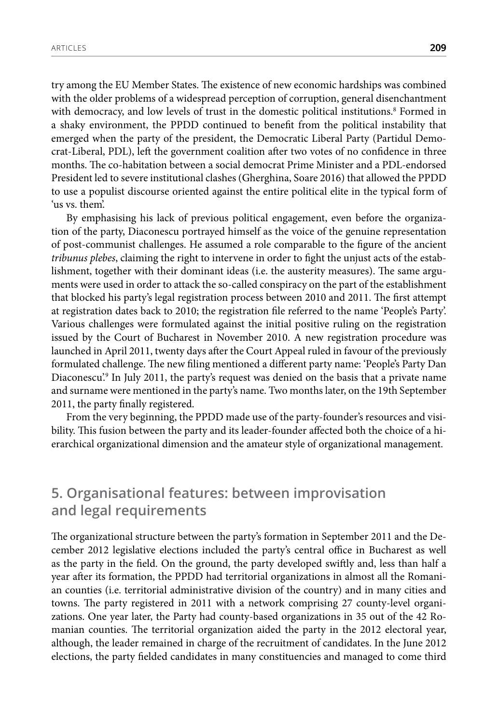try among the EU Member States. The existence of new economic hardships was combined with the older problems of a widespread perception of corruption, general disenchantment with democracy, and low levels of trust in the domestic political institutions.<sup>8</sup> Formed in a shaky environment, the PPDD continued to benefit from the political instability that emerged when the party of the president, the Democratic Liberal Party (Partidul Democrat-Liberal, PDL), left the government coalition after two votes of no confidence in three months. The co-habitation between a social democrat Prime Minister and a PDL-endorsed President led to severe institutional clashes (Gherghina, Soare 2016) that allowed the PPDD to use a populist discourse oriented against the entire political elite in the typical form of 'us vs. them'.

By emphasising his lack of previous political engagement, even before the organization of the party, Diaconescu portrayed himself as the voice of the genuine representation of post-communist challenges. He assumed a role comparable to the figure of the ancient *tribunus plebes*, claiming the right to intervene in order to fight the unjust acts of the establishment, together with their dominant ideas (i.e. the austerity measures). The same arguments were used in order to attack the so-called conspiracy on the part of the establishment that blocked his party's legal registration process between 2010 and 2011. The first attempt at registration dates back to 2010; the registration file referred to the name 'People's Party'. Various challenges were formulated against the initial positive ruling on the registration issued by the Court of Bucharest in November 2010. A new registration procedure was launched in April 2011, twenty days after the Court Appeal ruled in favour of the previously formulated challenge. The new filing mentioned a different party name: 'People's Party Dan Diaconescu'.<sup>9</sup> In July 2011, the party's request was denied on the basis that a private name and surname were mentioned in the party's name. Two months later, on the 19th September 2011, the party finally registered.

From the very beginning, the PPDD made use of the party-founder's resources and visibility. This fusion between the party and its leader-founder affected both the choice of a hierarchical organizational dimension and the amateur style of organizational management.

#### **5. Organisational features: between improvisation and legal requirements**

The organizational structure between the party's formation in September 2011 and the December 2012 legislative elections included the party's central office in Bucharest as well as the party in the field. On the ground, the party developed swiftly and, less than half a year after its formation, the PPDD had territorial organizations in almost all the Romanian counties (i.e. territorial administrative division of the country) and in many cities and towns. The party registered in 2011 with a network comprising 27 county-level organizations. One year later, the Party had county-based organizations in 35 out of the 42 Romanian counties. The territorial organization aided the party in the 2012 electoral year, although, the leader remained in charge of the recruitment of candidates. In the June 2012 elections, the party fielded candidates in many constituencies and managed to come third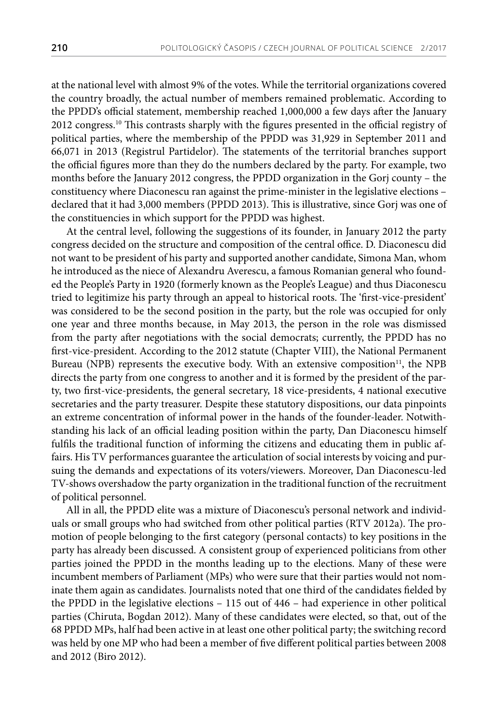at the national level with almost 9% of the votes. While the territorial organizations covered the country broadly, the actual number of members remained problematic. According to the PPDD's official statement, membership reached 1,000,000 a few days after the January 2012 congress.<sup>10</sup> This contrasts sharply with the figures presented in the official registry of political parties, where the membership of the PPDD was 31,929 in September 2011 and 66,071 in 2013 (Registrul Partidelor). The statements of the territorial branches support the official figures more than they do the numbers declared by the party. For example, two months before the January 2012 congress, the PPDD organization in the Gorj county – the constituency where Diaconescu ran against the prime-minister in the legislative elections – declared that it had 3,000 members (PPDD 2013). This is illustrative, since Gorj was one of the constituencies in which support for the PPDD was highest.

At the central level, following the suggestions of its founder, in January 2012 the party congress decided on the structure and composition of the central office. D. Diaconescu did not want to be president of his party and supported another candidate, Simona Man, whom he introduced as the niece of Alexandru Averescu, a famous Romanian general who founded the People's Party in 1920 (formerly known as the People's League) and thus Diaconescu tried to legitimize his party through an appeal to historical roots. The 'first-vice-president' was considered to be the second position in the party, but the role was occupied for only one year and three months because, in May 2013, the person in the role was dismissed from the party after negotiations with the social democrats; currently, the PPDD has no first-vice-president. According to the 2012 statute (Chapter VIII), the National Permanent Bureau (NPB) represents the executive body. With an extensive composition<sup>11</sup>, the NPB directs the party from one congress to another and it is formed by the president of the party, two first-vice-presidents, the general secretary, 18 vice-presidents, 4 national executive secretaries and the party treasurer. Despite these statutory dispositions, our data pinpoints an extreme concentration of informal power in the hands of the founder-leader. Notwithstanding his lack of an official leading position within the party, Dan Diaconescu himself fulfils the traditional function of informing the citizens and educating them in public affairs. His TV performances guarantee the articulation of social interests by voicing and pursuing the demands and expectations of its voters/viewers. Moreover, Dan Diaconescu-led TV-shows overshadow the party organization in the traditional function of the recruitment of political personnel.

All in all, the PPDD elite was a mixture of Diaconescu's personal network and individuals or small groups who had switched from other political parties (RTV 2012a). The promotion of people belonging to the first category (personal contacts) to key positions in the party has already been discussed. A consistent group of experienced politicians from other parties joined the PPDD in the months leading up to the elections. Many of these were incumbent members of Parliament (MPs) who were sure that their parties would not nominate them again as candidates. Journalists noted that one third of the candidates fielded by the PPDD in the legislative elections – 115 out of 446 – had experience in other political parties (Chiruta, Bogdan 2012). Many of these candidates were elected, so that, out of the 68 PPDD MPs, half had been active in at least one other political party; the switching record was held by one MP who had been a member of five different political parties between 2008 and 2012 (Biro 2012).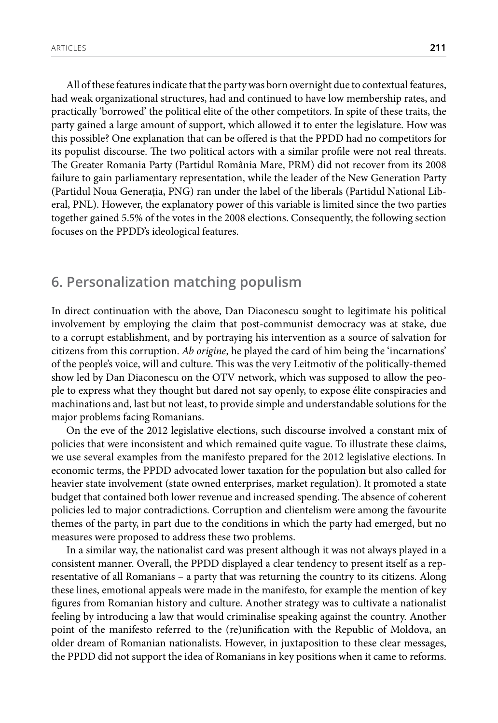All of these features indicate that the party was born overnight due to contextual features, had weak organizational structures, had and continued to have low membership rates, and practically 'borrowed' the political elite of the other competitors. In spite of these traits, the party gained a large amount of support, which allowed it to enter the legislature. How was this possible? One explanation that can be offered is that the PPDD had no competitors for its populist discourse. The two political actors with a similar profile were not real threats. The Greater Romania Party (Partidul România Mare, PRM) did not recover from its 2008 failure to gain parliamentary representation, while the leader of the New Generation Party (Partidul Noua Generația, PNG) ran under the label of the liberals (Partidul National Liberal, PNL). However, the explanatory power of this variable is limited since the two parties together gained 5.5% of the votes in the 2008 elections. Consequently, the following section focuses on the PPDD's ideological features.

#### **6. Personalization matching populism**

In direct continuation with the above, Dan Diaconescu sought to legitimate his political involvement by employing the claim that post-communist democracy was at stake, due to a corrupt establishment, and by portraying his intervention as a source of salvation for citizens from this corruption. *Ab origine*, he played the card of him being the 'incarnations' of the people's voice, will and culture. This was the very Leitmotiv of the politically-themed show led by Dan Diaconescu on the OTV network, which was supposed to allow the people to express what they thought but dared not say openly, to expose élite conspiracies and machinations and, last but not least, to provide simple and understandable solutions for the major problems facing Romanians.

On the eve of the 2012 legislative elections, such discourse involved a constant mix of policies that were inconsistent and which remained quite vague. To illustrate these claims, we use several examples from the manifesto prepared for the 2012 legislative elections. In economic terms, the PPDD advocated lower taxation for the population but also called for heavier state involvement (state owned enterprises, market regulation). It promoted a state budget that contained both lower revenue and increased spending. The absence of coherent policies led to major contradictions. Corruption and clientelism were among the favourite themes of the party, in part due to the conditions in which the party had emerged, but no measures were proposed to address these two problems.

In a similar way, the nationalist card was present although it was not always played in a consistent manner. Overall, the PPDD displayed a clear tendency to present itself as a representative of all Romanians – a party that was returning the country to its citizens. Along these lines, emotional appeals were made in the manifesto, for example the mention of key figures from Romanian history and culture. Another strategy was to cultivate a nationalist feeling by introducing a law that would criminalise speaking against the country. Another point of the manifesto referred to the (re)unification with the Republic of Moldova, an older dream of Romanian nationalists. However, in juxtaposition to these clear messages, the PPDD did not support the idea of Romanians in key positions when it came to reforms.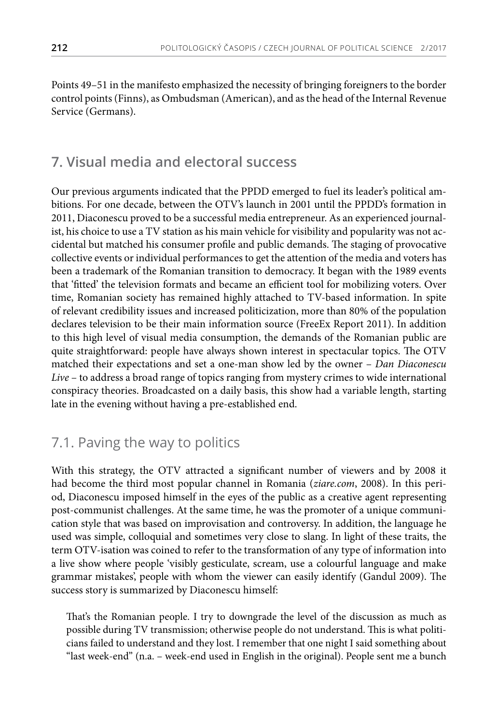Points 49–51 in the manifesto emphasized the necessity of bringing foreigners to the border control points (Finns), as Ombudsman (American), and as the head of the Internal Revenue Service (Germans).

#### **7. Visual media and electoral success**

Our previous arguments indicated that the PPDD emerged to fuel its leader's political ambitions. For one decade, between the OTV's launch in 2001 until the PPDD's formation in 2011, Diaconescu proved to be a successful media entrepreneur. As an experienced journalist, his choice to use a TV station as his main vehicle for visibility and popularity was not accidental but matched his consumer profile and public demands. The staging of provocative collective events or individual performances to get the attention of the media and voters has been a trademark of the Romanian transition to democracy. It began with the 1989 events that 'fitted' the television formats and became an efficient tool for mobilizing voters. Over time, Romanian society has remained highly attached to TV-based information. In spite of relevant credibility issues and increased politicization, more than 80% of the population declares television to be their main information source (FreeEx Report 2011). In addition to this high level of visual media consumption, the demands of the Romanian public are quite straightforward: people have always shown interest in spectacular topics. The OTV matched their expectations and set a one-man show led by the owner – *Dan Diaconescu Live* – to address a broad range of topics ranging from mystery crimes to wide international conspiracy theories. Broadcasted on a daily basis, this show had a variable length, starting late in the evening without having a pre-established end.

#### 7.1. Paving the way to politics

With this strategy, the OTV attracted a significant number of viewers and by 2008 it had become the third most popular channel in Romania (*ziare.com*, 2008). In this period, Diaconescu imposed himself in the eyes of the public as a creative agent representing post-communist challenges. At the same time, he was the promoter of a unique communication style that was based on improvisation and controversy. In addition, the language he used was simple, colloquial and sometimes very close to slang. In light of these traits, the term OTV-isation was coined to refer to the transformation of any type of information into a live show where people 'visibly gesticulate, scream, use a colourful language and make grammar mistakes', people with whom the viewer can easily identify (Gandul 2009). The success story is summarized by Diaconescu himself:

That's the Romanian people. I try to downgrade the level of the discussion as much as possible during TV transmission; otherwise people do not understand. This is what politicians failed to understand and they lost. I remember that one night I said something about "last week-end" (n.a. – week-end used in English in the original). People sent me a bunch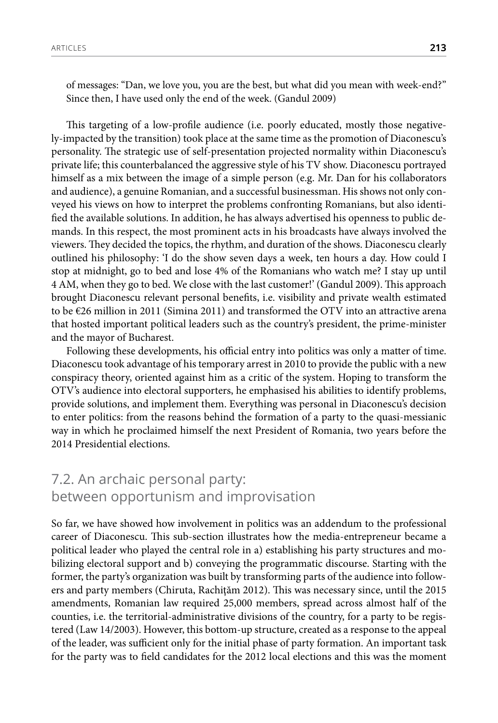of messages: "Dan, we love you, you are the best, but what did you mean with week-end?" Since then, I have used only the end of the week. (Gandul 2009)

This targeting of a low-profile audience (i.e. poorly educated, mostly those negatively-impacted by the transition) took place at the same time as the promotion of Diaconescu's personality. The strategic use of self-presentation projected normality within Diaconescu's private life; this counterbalanced the aggressive style of his TV show. Diaconescu portrayed himself as a mix between the image of a simple person (e.g. Mr. Dan for his collaborators and audience), a genuine Romanian, and a successful businessman. His shows not only conveyed his views on how to interpret the problems confronting Romanians, but also identified the available solutions. In addition, he has always advertised his openness to public demands. In this respect, the most prominent acts in his broadcasts have always involved the viewers. They decided the topics, the rhythm, and duration of the shows. Diaconescu clearly outlined his philosophy: 'I do the show seven days a week, ten hours a day. How could I stop at midnight, go to bed and lose 4% of the Romanians who watch me? I stay up until 4 AM, when they go to bed. We close with the last customer!' (Gandul 2009). This approach brought Diaconescu relevant personal benefits, i.e. visibility and private wealth estimated to be €26 million in 2011 (Simina 2011) and transformed the OTV into an attractive arena that hosted important political leaders such as the country's president, the prime-minister and the mayor of Bucharest.

Following these developments, his official entry into politics was only a matter of time. Diaconescu took advantage of his temporary arrest in 2010 to provide the public with a new conspiracy theory, oriented against him as a critic of the system. Hoping to transform the OTV's audience into electoral supporters, he emphasised his abilities to identify problems, provide solutions, and implement them. Everything was personal in Diaconescu's decision to enter politics: from the reasons behind the formation of a party to the quasi-messianic way in which he proclaimed himself the next President of Romania, two years before the 2014 Presidential elections.

#### 7.2. An archaic personal party: between opportunism and improvisation

So far, we have showed how involvement in politics was an addendum to the professional career of Diaconescu. This sub-section illustrates how the media-entrepreneur became a political leader who played the central role in a) establishing his party structures and mobilizing electoral support and b) conveying the programmatic discourse. Starting with the former, the party's organization was built by transforming parts of the audience into followers and party members (Chiruta, Rachiţăm 2012). This was necessary since, until the 2015 amendments, Romanian law required 25,000 members, spread across almost half of the counties, i.e. the territorial-administrative divisions of the country, for a party to be registered (Law 14/2003). However, this bottom-up structure, created as a response to the appeal of the leader, was sufficient only for the initial phase of party formation. An important task for the party was to field candidates for the 2012 local elections and this was the moment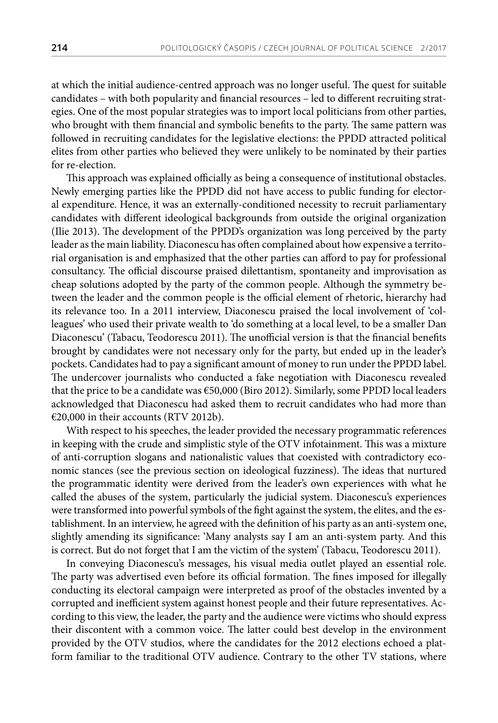at which the initial audience-centred approach was no longer useful. The quest for suitable candidates – with both popularity and financial resources – led to different recruiting strategies. One of the most popular strategies was to import local politicians from other parties, who brought with them financial and symbolic benefits to the party. The same pattern was followed in recruiting candidates for the legislative elections: the PPDD attracted political elites from other parties who believed they were unlikely to be nominated by their parties for re-election.

This approach was explained officially as being a consequence of institutional obstacles. Newly emerging parties like the PPDD did not have access to public funding for electoral expenditure. Hence, it was an externally-conditioned necessity to recruit parliamentary candidates with different ideological backgrounds from outside the original organization (Ilie 2013). The development of the PPDD's organization was long perceived by the party leader as the main liability. Diaconescu has often complained about how expensive a territorial organisation is and emphasized that the other parties can afford to pay for professional consultancy. The official discourse praised dilettantism, spontaneity and improvisation as cheap solutions adopted by the party of the common people. Although the symmetry between the leader and the common people is the official element of rhetoric, hierarchy had its relevance too. In a 2011 interview, Diaconescu praised the local involvement of 'colleagues' who used their private wealth to 'do something at a local level, to be a smaller Dan Diaconescu' (Tabacu, Teodorescu 2011). The unofficial version is that the financial benefits brought by candidates were not necessary only for the party, but ended up in the leader's pockets. Candidates had to pay a significant amount of money to run under the PPDD label. The undercover journalists who conducted a fake negotiation with Diaconescu revealed that the price to be a candidate was €50,000 (Biro 2012). Similarly, some PPDD local leaders acknowledged that Diaconescu had asked them to recruit candidates who had more than €20,000 in their accounts (RTV 2012b).

With respect to his speeches, the leader provided the necessary programmatic references in keeping with the crude and simplistic style of the OTV infotainment. This was a mixture of anti-corruption slogans and nationalistic values that coexisted with contradictory economic stances (see the previous section on ideological fuzziness). The ideas that nurtured the programmatic identity were derived from the leader's own experiences with what he called the abuses of the system, particularly the judicial system. Diaconescu's experiences were transformed into powerful symbols of the fight against the system, the elites, and the establishment. In an interview, he agreed with the definition of his party as an anti-system one, slightly amending its significance: 'Many analysts say I am an anti-system party. And this is correct. But do not forget that I am the victim of the system' (Tabacu, Teodorescu 2011).

In conveying Diaconescu's messages, his visual media outlet played an essential role. The party was advertised even before its official formation. The fines imposed for illegally conducting its electoral campaign were interpreted as proof of the obstacles invented by a corrupted and inefficient system against honest people and their future representatives. According to this view, the leader, the party and the audience were victims who should express their discontent with a common voice. The latter could best develop in the environment provided by the OTV studios, where the candidates for the 2012 elections echoed a platform familiar to the traditional OTV audience. Contrary to the other TV stations, where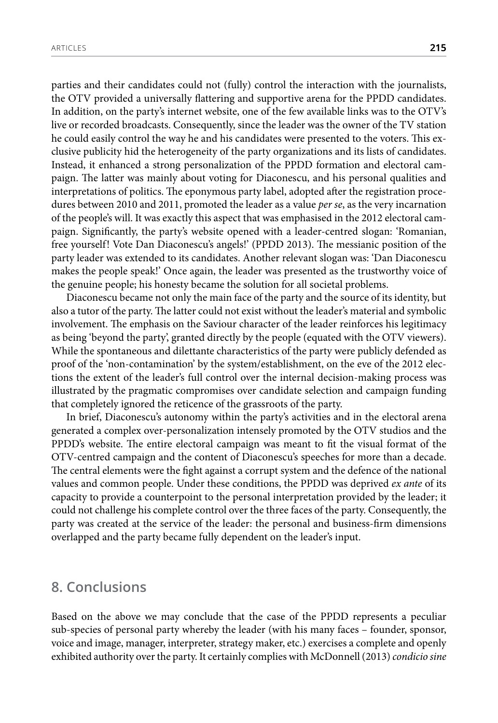parties and their candidates could not (fully) control the interaction with the journalists, the OTV provided a universally flattering and supportive arena for the PPDD candidates. In addition, on the party's internet website, one of the few available links was to the OTV's live or recorded broadcasts. Consequently, since the leader was the owner of the TV station he could easily control the way he and his candidates were presented to the voters. This exclusive publicity hid the heterogeneity of the party organizations and its lists of candidates. Instead, it enhanced a strong personalization of the PPDD formation and electoral campaign. The latter was mainly about voting for Diaconescu, and his personal qualities and interpretations of politics. The eponymous party label, adopted after the registration procedures between 2010 and 2011, promoted the leader as a value *per se*, as the very incarnation of the people's will. It was exactly this aspect that was emphasised in the 2012 electoral campaign. Significantly, the party's website opened with a leader-centred slogan: 'Romanian, free yourself! Vote Dan Diaconescu's angels!' (PPDD 2013). The messianic position of the party leader was extended to its candidates. Another relevant slogan was: 'Dan Diaconescu makes the people speak!' Once again, the leader was presented as the trustworthy voice of the genuine people; his honesty became the solution for all societal problems.

Diaconescu became not only the main face of the party and the source of its identity, but also a tutor of the party. The latter could not exist without the leader's material and symbolic involvement. The emphasis on the Saviour character of the leader reinforces his legitimacy as being 'beyond the party', granted directly by the people (equated with the OTV viewers). While the spontaneous and dilettante characteristics of the party were publicly defended as proof of the 'non-contamination' by the system/establishment, on the eve of the 2012 elections the extent of the leader's full control over the internal decision-making process was illustrated by the pragmatic compromises over candidate selection and campaign funding that completely ignored the reticence of the grassroots of the party.

In brief, Diaconescu's autonomy within the party's activities and in the electoral arena generated a complex over-personalization intensely promoted by the OTV studios and the PPDD's website. The entire electoral campaign was meant to fit the visual format of the OTV-centred campaign and the content of Diaconescu's speeches for more than a decade. The central elements were the fight against a corrupt system and the defence of the national values and common people. Under these conditions, the PPDD was deprived *ex ante* of its capacity to provide a counterpoint to the personal interpretation provided by the leader; it could not challenge his complete control over the three faces of the party. Consequently, the party was created at the service of the leader: the personal and business-firm dimensions overlapped and the party became fully dependent on the leader's input.

#### **8. Conclusions**

Based on the above we may conclude that the case of the PPDD represents a peculiar sub-species of personal party whereby the leader (with his many faces – founder, sponsor, voice and image, manager, interpreter, strategy maker, etc.) exercises a complete and openly exhibited authority over the party. It certainly complies with McDonnell (2013) *condicio sine*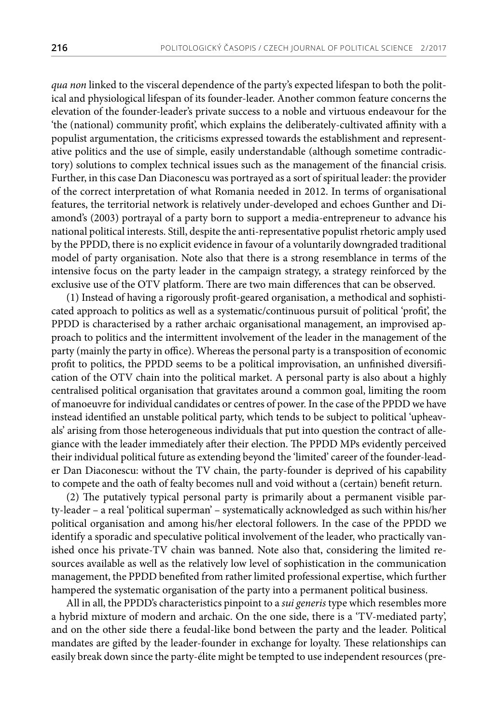*qua non* linked to the visceral dependence of the party's expected lifespan to both the political and physiological lifespan of its founder-leader. Another common feature concerns the elevation of the founder-leader's private success to a noble and virtuous endeavour for the 'the (national) community profit', which explains the deliberately-cultivated affinity with a populist argumentation, the criticisms expressed towards the establishment and representative politics and the use of simple, easily understandable (although sometime contradictory) solutions to complex technical issues such as the management of the financial crisis. Further, in this case Dan Diaconescu was portrayed as a sort of spiritual leader: the provider of the correct interpretation of what Romania needed in 2012. In terms of organisational features, the territorial network is relatively under-developed and echoes Gunther and Diamond's (2003) portrayal of a party born to support a media-entrepreneur to advance his national political interests. Still, despite the anti-representative populist rhetoric amply used by the PPDD, there is no explicit evidence in favour of a voluntarily downgraded traditional model of party organisation. Note also that there is a strong resemblance in terms of the intensive focus on the party leader in the campaign strategy, a strategy reinforced by the exclusive use of the OTV platform. There are two main differences that can be observed.

(1) Instead of having a rigorously profit-geared organisation, a methodical and sophisticated approach to politics as well as a systematic/continuous pursuit of political 'profit', the PPDD is characterised by a rather archaic organisational management, an improvised approach to politics and the intermittent involvement of the leader in the management of the party (mainly the party in office). Whereas the personal party is a transposition of economic profit to politics, the PPDD seems to be a political improvisation, an unfinished diversification of the OTV chain into the political market. A personal party is also about a highly centralised political organisation that gravitates around a common goal, limiting the room of manoeuvre for individual candidates or centres of power. In the case of the PPDD we have instead identified an unstable political party, which tends to be subject to political 'upheavals' arising from those heterogeneous individuals that put into question the contract of allegiance with the leader immediately after their election. The PPDD MPs evidently perceived their individual political future as extending beyond the 'limited' career of the founder-leader Dan Diaconescu: without the TV chain, the party-founder is deprived of his capability to compete and the oath of fealty becomes null and void without a (certain) benefit return.

(2) The putatively typical personal party is primarily about a permanent visible party-leader – a real 'political superman' – systematically acknowledged as such within his/her political organisation and among his/her electoral followers. In the case of the PPDD we identify a sporadic and speculative political involvement of the leader, who practically vanished once his private-TV chain was banned. Note also that, considering the limited resources available as well as the relatively low level of sophistication in the communication management, the PPDD benefited from rather limited professional expertise, which further hampered the systematic organisation of the party into a permanent political business.

All in all, the PPDD's characteristics pinpoint to a *sui generis* type which resembles more a hybrid mixture of modern and archaic. On the one side, there is a 'TV-mediated party', and on the other side there a feudal-like bond between the party and the leader. Political mandates are gifted by the leader-founder in exchange for loyalty. These relationships can easily break down since the party-élite might be tempted to use independent resources (pre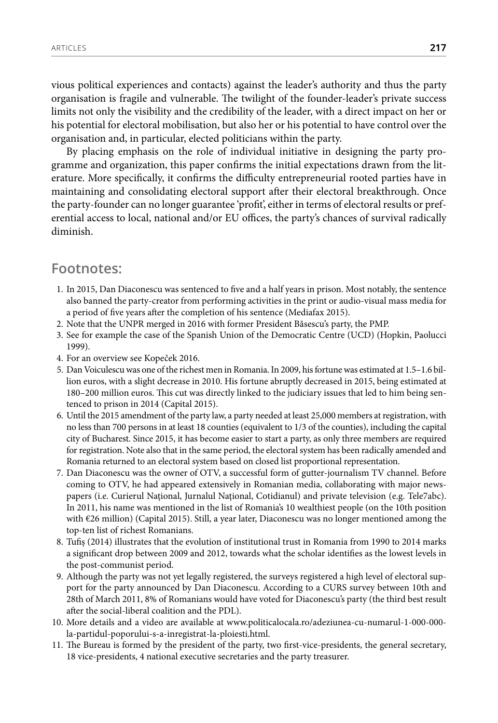vious political experiences and contacts) against the leader's authority and thus the party organisation is fragile and vulnerable. The twilight of the founder-leader's private success limits not only the visibility and the credibility of the leader, with a direct impact on her or his potential for electoral mobilisation, but also her or his potential to have control over the organisation and, in particular, elected politicians within the party.

By placing emphasis on the role of individual initiative in designing the party programme and organization, this paper confirms the initial expectations drawn from the literature. More specifically, it confirms the difficulty entrepreneurial rooted parties have in maintaining and consolidating electoral support after their electoral breakthrough. Once the party-founder can no longer guarantee 'profit', either in terms of electoral results or preferential access to local, national and/or EU offices, the party's chances of survival radically diminish.

#### **Footnotes:**

- 1. In 2015, Dan Diaconescu was sentenced to five and a half years in prison. Most notably, the sentence also banned the party-creator from performing activities in the print or audio-visual mass media for a period of five years after the completion of his sentence (Mediafax 2015).
- 2. Note that the UNPR merged in 2016 with former President Băsescu's party, the PMP.
- 3. See for example the case of the Spanish Union of the Democratic Centre (UCD) (Hopkin, Paolucci 1999).
- 4. For an overview see Kopeček 2016.
- 5. Dan Voiculescu was one of the richest men in Romania. In 2009, his fortune was estimated at 1.5–1.6 billion euros, with a slight decrease in 2010. His fortune abruptly decreased in 2015, being estimated at 180–200 million euros. This cut was directly linked to the judiciary issues that led to him being sentenced to prison in 2014 (Capital 2015).
- 6. Until the 2015 amendment of the party law, a party needed at least 25,000 members at registration, with no less than 700 persons in at least 18 counties (equivalent to 1/3 of the counties), including the capital city of Bucharest. Since 2015, it has become easier to start a party, as only three members are required for registration. Note also that in the same period, the electoral system has been radically amended and Romania returned to an electoral system based on closed list proportional representation.
- 7. Dan Diaconescu was the owner of OTV, a successful form of gutter-journalism TV channel. Before coming to OTV, he had appeared extensively in Romanian media, collaborating with major newspapers (i.e. Curierul Național, Jurnalul Național, Cotidianul) and private television (e.g. Tele7abc). In 2011, his name was mentioned in the list of Romania's 10 wealthiest people (on the 10th position with €26 million) (Capital 2015). Still, a year later, Diaconescu was no longer mentioned among the top-ten list of richest Romanians.
- 8. Tufiș (2014) illustrates that the evolution of institutional trust in Romania from 1990 to 2014 marks a significant drop between 2009 and 2012, towards what the scholar identifies as the lowest levels in the post-communist period.
- 9. Although the party was not yet legally registered, the surveys registered a high level of electoral support for the party announced by Dan Diaconescu. According to a CURS survey between 10th and 28th of March 2011, 8% of Romanians would have voted for Diaconescu's party (the third best result after the social-liberal coalition and the PDL).
- 10. More details and a video are available at [www.politicalocala.ro/adeziunea-cu-numarul-1-000-000](http://www.politicalocala.ro/adeziunea-cu-numarul-1-000-000-la-partidul-poporului-s-a-inregistrat-la-ploiesti.html) [la-partidul-poporului-s-a-inregistrat-la-ploiesti.html.](http://www.politicalocala.ro/adeziunea-cu-numarul-1-000-000-la-partidul-poporului-s-a-inregistrat-la-ploiesti.html)
- 11. The Bureau is formed by the president of the party, two first-vice-presidents, the general secretary, 18 vice-presidents, 4 national executive secretaries and the party treasurer.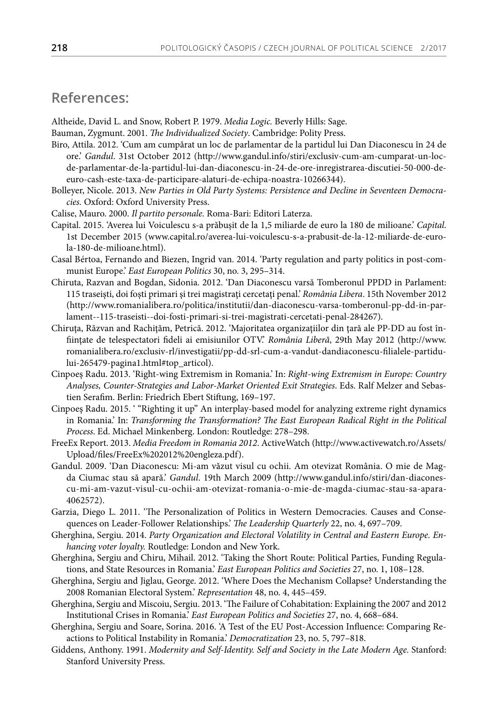#### **References:**

Altheide, David L. and Snow, Robert P. 1979. *Media Logic.* Beverly Hills: Sage.

- Bauman, Zygmunt. 2001. *The Individualized Society*. Cambridge: Polity Press.
- Biro, Attila. 2012. 'Cum am cumpărat un loc de parlamentar de la partidul lui Dan Diaconescu în 24 de ore.' *Gandul*. 31st October 2012 (http://www.gandul.info/stiri/exclusiv-cum-am-cumparat-un-locde-parlamentar-de-la-partidul-lui-dan-diaconescu-in-24-de-ore-inregistrarea-discutiei-50-000-deeuro-cash-este-taxa-de-participare-alaturi-de-echipa-noastra-10266344).
- Bolleyer, Nicole. 2013. *New Parties in Old Party Systems: Persistence and Decline in Seventeen Democracies.* Oxford: Oxford University Press.
- Calise, Mauro. 2000. *Il partito personale.* Roma-Bari: Editori Laterza.
- Capital. 2015. 'Averea lui Voiculescu s-a prăbușit de la 1,5 miliarde de euro la 180 de milioane.' *Capital*. 1st December 2015 (www.capital.ro/averea-lui-voiculescu-s-a-prabusit-de-la-12-miliarde-de-eurola-180-de-milioane.html).
- Casal Bértoa, Fernando and Biezen, Ingrid van. 2014. 'Party regulation and party politics in post-communist Europe.' *East European Politics* 30, no. 3, 295–314.
- Chiruta, Razvan and Bogdan, Sidonia. 2012. 'Dan Diaconescu varsă Tomberonul PPDD in Parlament: 115 traseişti, doi foşti primari şi trei magistraţi cercetaţi penal.' *România Libera*. 15th November 2012 (http://www.romanialibera.ro/politica/institutii/dan-diaconescu-varsa-tomberonul-pp-dd-in-parlament--115-traseisti--doi-fosti-primari-si-trei-magistrati-cercetati-penal-284267).
- Chiruţa, Răzvan and Rachiţăm, Petrică. 2012. 'Majoritatea organizaţiilor din ţară ale PP-DD au fost înfiinţate de telespectatori fideli ai emisiunilor OTV.' *România Liberă*, 29th May 2012 (http://www. romanialibera.ro/exclusiv-rl/investigatii/pp-dd-srl-cum-a-vandut-dandiaconescu-filialele-partidului-265479-pagina1.html#top\_articol).
- Cinpoeş Radu. 2013. 'Right-wing Extremism in Romania.' In: *Right-wing Extremism in Europe: Country Analyses, Counter-Strategies and Labor-Market Oriented Exit Strategies*. Eds. Ralf Melzer and Sebastien Serafim. Berlin: Friedrich Ebert Stiftung, 169–197.
- Cinpoeş Radu. 2015. ' "Righting it up" An interplay-based model for analyzing extreme right dynamics in Romania.' In: *Transforming the Transformation? The East European Radical Right in the Political Process*. Ed. Michael Minkenberg. London: Routledge: 278–298.
- FreeEx Report. 2013. *Media Freedom in Romania 2012*. ActiveWatch (http://www.activewatch.ro/Assets/ Upload/files/FreeEx%202012%20engleza.pdf).
- Gandul. 2009. 'Dan Diaconescu: Mi-am văzut visul cu ochii. Am otevizat România. O mie de Magda Ciumac stau să apară.' *Gandul*. 19th March 2009 (http://www.gandul.info/stiri/dan-diaconescu-mi-am-vazut-visul-cu-ochii-am-otevizat-romania-o-mie-de-magda-ciumac-stau-sa-apara-4062572).
- Garzia, Diego L. 2011. 'The Personalization of Politics in Western Democracies. Causes and Consequences on Leader-Follower Relationships.' *The Leadership Quarterly* 22, no. 4, 697–709.
- Gherghina, Sergiu. 2014. *Party Organization and Electoral Volatility in Central and Eastern Europe. Enhancing voter loyalty.* Routledge: London and New York.
- Gherghina, Sergiu and Chiru, Mihail. 2012. 'Taking the Short Route: Political Parties, Funding Regulations, and State Resources in Romania.' *East European Politics and Societies* 27, no. 1, 108–128.
- Gherghina, Sergiu and Jiglau, George. 2012. 'Where Does the Mechanism Collapse? Understanding the 2008 Romanian Electoral System.' *Representation* 48, no. 4, 445–459.
- Gherghina, Sergiu and Miscoiu, Sergiu. 2013. 'The Failure of Cohabitation: Explaining the 2007 and 2012 Institutional Crises in Romania.' *East European Politics and Societies* 27, no. 4, 668–684.
- Gherghina, Sergiu and Soare, Sorina. 2016. 'A Test of the EU Post-Accession Influence: Comparing Reactions to Political Instability in Romania.' *Democratization* 23, no. 5, 797–818.
- Giddens, Anthony. 1991. *Modernity and Self-Identity. Self and Society in the Late Modern Age.* Stanford: Stanford University Press.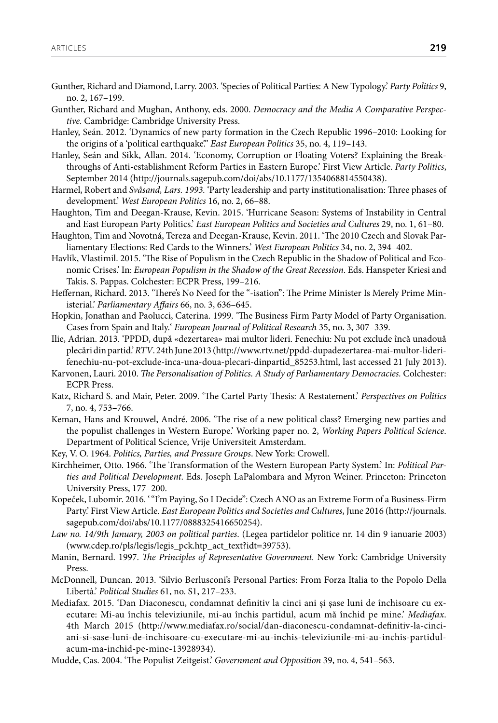- Gunther, Richard and Diamond, Larry. 2003. 'Species of Political Parties: A New Typology.' *Party Politics* 9, no. 2, 167–199.
- Gunther, Richard and Mughan, Anthony, eds. 2000. *Democracy and the Media A Comparative Perspective.* Cambridge: Cambridge University Press.
- Hanley, Seán. 2012. 'Dynamics of new party formation in the Czech Republic 1996–2010: Looking for the origins of a 'political earthquake'." *East European Politics* 35, no. 4, 119–143.
- Hanley, Seán and Sikk, Allan. 2014. 'Economy, Corruption or Floating Voters? Explaining the Breakthroughs of Anti-establishment Reform Parties in Eastern Europe.' First View Article. *Party Politics*, September 2014 (http://journals.sagepub.com/doi/abs/10.1177/1354068814550438).
- Harmel, Robert and *Svåsand, Lars. 1993.* 'Party leadership and party institutionalisation: Three phases of development.' *West European Politics* 16, no. 2, 66–88.
- Haughton, Tim and Deegan-Krause, Kevin. 2015. 'Hurricane Season: Systems of Instability in Central and East European Party Politics.' *East European Politics and Societies and Cultures* 29, no. 1, 61–80.
- Haughton, Tim and Novotná, Tereza and Deegan-Krause, Kevin. 2011. 'The 2010 Czech and Slovak Parliamentary Elections: Red Cards to the Winners.' *West European Politics* 34, no. 2, 394–402.
- Havlík, Vlastimil. 2015. 'The Rise of Populism in the Czech Republic in the Shadow of Political and Economic Crises.' In: *European Populism in the Shadow of the Great Recession*. Eds. Hanspeter Kriesi and Takis. S. Pappas. Colchester: ECPR Press, 199–216.
- Heffernan, Richard. 2013. 'There's No Need for the "-isation": The Prime Minister Is Merely Prime Ministerial.' *Parliamentary Affairs* 66, no. 3, 636–645.
- Hopkin, Jonathan and Paolucci, Caterina. 1999. 'The Business Firm Party Model of Party Organisation. Cases from Spain and Italy.' *European Journal of Political Research* 35, no. 3, 307–339.
- Ilie, Adrian. 2013. 'PPDD, după «dezertarea» mai multor lideri. Fenechiu: Nu pot exclude încă unadouă plecări din partid.' *RTV*. 24th June 2013 (http://www.rtv.net/ppdd-dupadezertarea-mai-multor-liderifenechiu-nu-pot-exclude-inca-una-doua-plecari-dinpartid\_85253.html, last accessed 21 July 2013).
- Karvonen, Lauri. 2010. *The Personalisation of Politics. A Study of Parliamentary Democracies.* Colchester: ECPR Press.
- Katz, Richard S. and Mair, Peter. 2009. 'The Cartel Party Thesis: A Restatement.' *Perspectives on Politics* 7, no. 4, 753–766.
- Keman, Hans and Krouwel, André. 2006. 'The rise of a new political class? Emerging new parties and the populist challenges in Western Europe.' Working paper no. 2, *Working Papers Political Science*. Department of Political Science, Vrije Universiteit Amsterdam.
- Key, V. O. 1964. *Politics, Parties, and Pressure Groups*. New York: Crowell.
- Kirchheimer, Otto. 1966. 'The Transformation of the Western European Party System.' In: *Political Parties and Political Development*. Eds. Joseph LaPalombara and Myron Weiner. Princeton: Princeton University Press, 177–200.
- Kopeček, Lubomír. 2016. '"I'm Paying, So I Decide": Czech ANO as an Extreme Form of a Business-Firm Party.' First View Article. *East European Politics and Societies and Cultures*, June 2016 (http://journals. sagepub.com/doi/abs/10.1177/0888325416650254).
- *Law no. 14/9th January, 2003 on political parties*. (Legea partidelor politice nr. 14 din 9 ianuarie 2003) [\(www.cdep.ro/pls/legis/legis\\_pck.htp\\_act\\_text?idt=39753](http://www.cdep.ro/pls/legis/legis_pck.htp_act_text?idt=39753)).
- Manin, Bernard. 1997. *The Principles of Representative Government.* New York: Cambridge University Press.
- McDonnell, Duncan. 2013. 'Silvio Berlusconi's Personal Parties: From Forza Italia to the Popolo Della Libertà.' *Political Studies* 61, no. S1, 217–233.
- Mediafax. 2015. 'Dan Diaconescu, condamnat definitiv la cinci ani şi şase luni de închisoare cu executare: Mi-au închis televiziunile, mi-au închis partidul, acum mă închid pe mine.' *Mediafax*. 4th March 2015 (http://www.mediafax.ro/social/dan-diaconescu-condamnat-definitiv-la-cinciani-si-sase-luni-de-inchisoare-cu-executare-mi-au-inchis-televiziunile-mi-au-inchis-partidulacum-ma-inchid-pe-mine-13928934).
- Mudde, Cas. 2004. 'The Populist Zeitgeist.' *Government and Opposition* 39, no. 4, 541–563.